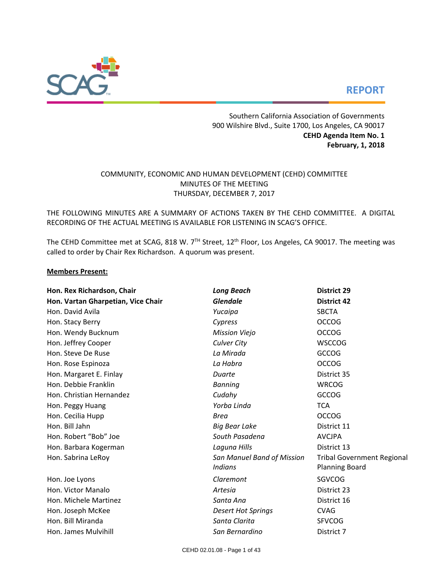# **REPORT**



Southern California Association of Governments 900 Wilshire Blvd., Suite 1700, Los Angeles, CA 90017 **CEHD Agenda Item No. 1 February, 1, 2018**

## COMMUNITY, ECONOMIC AND HUMAN DEVELOPMENT (CEHD) COMMITTEE MINUTES OF THE MEETING THURSDAY, DECEMBER 7, 2017

THE FOLLOWING MINUTES ARE A SUMMARY OF ACTIONS TAKEN BY THE CEHD COMMITTEE. A DIGITAL RECORDING OF THE ACTUAL MEETING IS AVAILABLE FOR LISTENING IN SCAG'S OFFICE.

The CEHD Committee met at SCAG, 818 W. 7<sup>TH</sup> Street, 12<sup>th</sup> Floor, Los Angeles, CA 90017. The meeting was called to order by Chair Rex Richardson. A quorum was present.

### **Members Present:**

| Hon. Rex Richardson, Chair         | <b>Long Beach</b>                     | <b>District 29</b>                                         |  |  |  |  |  |
|------------------------------------|---------------------------------------|------------------------------------------------------------|--|--|--|--|--|
| Hon. Vartan Gharpetian, Vice Chair | <b>Glendale</b>                       | <b>District 42</b>                                         |  |  |  |  |  |
| Hon. David Avila                   | Yucaipa                               | <b>SBCTA</b>                                               |  |  |  |  |  |
| Hon. Stacy Berry                   | Cypress                               | <b>OCCOG</b>                                               |  |  |  |  |  |
| Hon. Wendy Bucknum                 | <b>Mission Viejo</b>                  | <b>OCCOG</b>                                               |  |  |  |  |  |
| Hon. Jeffrey Cooper                | <b>Culver City</b>                    | <b>WSCCOG</b>                                              |  |  |  |  |  |
| Hon. Steve De Ruse                 | La Mirada                             | <b>GCCOG</b>                                               |  |  |  |  |  |
| Hon. Rose Espinoza                 | La Habra                              | <b>OCCOG</b>                                               |  |  |  |  |  |
| Hon. Margaret E. Finlay            | Duarte                                | District 35                                                |  |  |  |  |  |
| Hon. Debbie Franklin               | <b>Banning</b>                        | <b>WRCOG</b>                                               |  |  |  |  |  |
| Hon. Christian Hernandez           | Cudahy                                | <b>GCCOG</b>                                               |  |  |  |  |  |
| Hon. Peggy Huang                   | Yorba Linda                           | <b>TCA</b>                                                 |  |  |  |  |  |
| Hon. Cecilia Hupp                  | Brea                                  | <b>OCCOG</b>                                               |  |  |  |  |  |
| Hon. Bill Jahn                     | <b>Big Bear Lake</b>                  | District 11                                                |  |  |  |  |  |
| Hon. Robert "Bob" Joe              | South Pasadena                        | <b>AVCJPA</b>                                              |  |  |  |  |  |
| Hon. Barbara Kogerman              | Laguna Hills                          | District 13                                                |  |  |  |  |  |
| Hon. Sabrina LeRoy                 | San Manuel Band of Mission<br>Indians | <b>Tribal Government Regional</b><br><b>Planning Board</b> |  |  |  |  |  |
| Hon. Joe Lyons                     | Claremont                             | SGVCOG                                                     |  |  |  |  |  |
| Hon. Victor Manalo                 | Artesia                               | District 23                                                |  |  |  |  |  |
| Hon. Michele Martinez              | Santa Ana                             | District 16                                                |  |  |  |  |  |
| Hon. Joseph McKee                  | <b>Desert Hot Springs</b>             | <b>CVAG</b>                                                |  |  |  |  |  |
| Hon. Bill Miranda                  | Santa Clarita                         | <b>SFVCOG</b>                                              |  |  |  |  |  |
| Hon. James Mulvihill               | San Bernardino                        | District 7                                                 |  |  |  |  |  |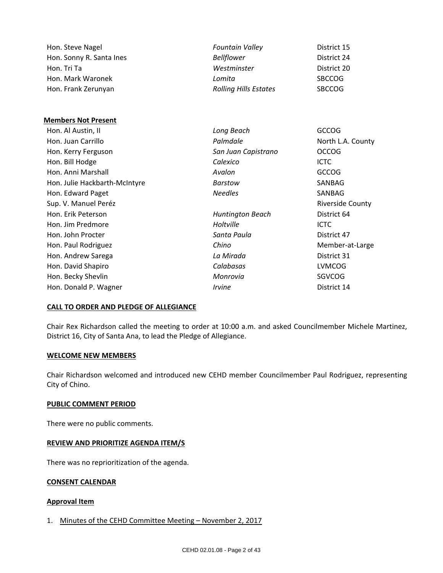| Hon. Steve Nagel              | Fountain Valley              | District 15             |  |  |  |  |
|-------------------------------|------------------------------|-------------------------|--|--|--|--|
| Hon. Sonny R. Santa Ines      | <b>Bellflower</b>            | District 24             |  |  |  |  |
| Hon. Tri Ta                   | Westminster                  | District 20             |  |  |  |  |
| Hon. Mark Waronek             | Lomita                       | <b>SBCCOG</b>           |  |  |  |  |
| Hon. Frank Zerunyan           | <b>Rolling Hills Estates</b> | <b>SBCCOG</b>           |  |  |  |  |
|                               |                              |                         |  |  |  |  |
| <b>Members Not Present</b>    |                              |                         |  |  |  |  |
| Hon. Al Austin, II            | Long Beach                   | <b>GCCOG</b>            |  |  |  |  |
| Hon. Juan Carrillo            | Palmdale                     | North L.A. County       |  |  |  |  |
| Hon. Kerry Ferguson           | San Juan Capistrano          | <b>OCCOG</b>            |  |  |  |  |
| Hon. Bill Hodge               | Calexico                     | <b>ICTC</b>             |  |  |  |  |
| Hon. Anni Marshall            | Avalon                       | <b>GCCOG</b>            |  |  |  |  |
| Hon. Julie Hackbarth-McIntyre | <b>Barstow</b>               | SANBAG                  |  |  |  |  |
| Hon. Edward Paget             | <b>Needles</b>               | SANBAG                  |  |  |  |  |
| Sup. V. Manuel Peréz          |                              | <b>Riverside County</b> |  |  |  |  |
| Hon. Erik Peterson            | <b>Huntington Beach</b>      | District 64             |  |  |  |  |
| Hon. Jim Predmore             | Holtville                    | <b>ICTC</b>             |  |  |  |  |
| Hon. John Procter             | Santa Paula                  | District 47             |  |  |  |  |
| Hon. Paul Rodriguez           | Chino                        | Member-at-Large         |  |  |  |  |
| Hon. Andrew Sarega            | La Mirada                    | District 31             |  |  |  |  |
| Hon. David Shapiro            | Calabasas                    | <b>LVMCOG</b>           |  |  |  |  |
| Hon. Becky Shevlin            | Monrovia                     | SGVCOG                  |  |  |  |  |
| Hon. Donald P. Wagner         | <i><u><b>Irvine</b></u></i>  | District 14             |  |  |  |  |

### **CALL TO ORDER AND PLEDGE OF ALLEGIANCE**

Chair Rex Richardson called the meeting to order at 10:00 a.m. and asked Councilmember Michele Martinez, District 16, City of Santa Ana, to lead the Pledge of Allegiance.

#### **WELCOME NEW MEMBERS**

Chair Richardson welcomed and introduced new CEHD member Councilmember Paul Rodriguez, representing City of Chino.

#### **PUBLIC COMMENT PERIOD**

There were no public comments.

#### **REVIEW AND PRIORITIZE AGENDA ITEM/S**

There was no reprioritization of the agenda.

### **CONSENT CALENDAR**

### **Approval Item**

1. Minutes of the CEHD Committee Meeting – November 2, 2017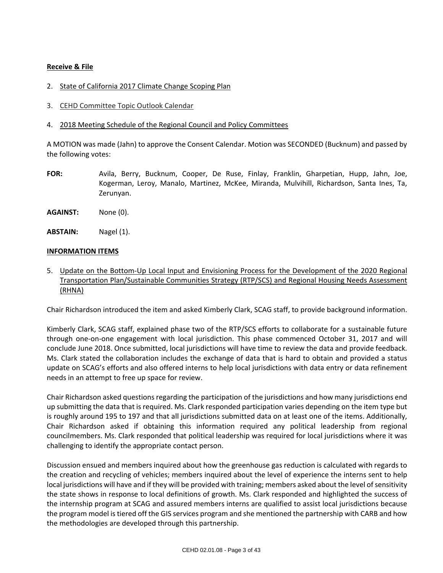### **Receive & File**

- 2. State of California 2017 Climate Change Scoping Plan
- 3. CEHD Committee Topic Outlook Calendar
- 4. 2018 Meeting Schedule of the Regional Council and Policy Committees

A MOTION was made (Jahn) to approve the Consent Calendar. Motion was SECONDED (Bucknum) and passed by the following votes:

- **FOR:**  Avila, Berry, Bucknum, Cooper, De Ruse, Finlay, Franklin, Gharpetian, Hupp, Jahn, Joe, Kogerman, Leroy, Manalo, Martinez, McKee, Miranda, Mulvihill, Richardson, Santa Ines, Ta, Zerunyan.
- **AGAINST:**  None (0).
- **ABSTAIN:**  Nagel (1).

### **INFORMATION ITEMS**

5. Update on the Bottom-Up Local Input and Envisioning Process for the Development of the 2020 Regional Transportation Plan/Sustainable Communities Strategy (RTP/SCS) and Regional Housing Needs Assessment (RHNA)

Chair Richardson introduced the item and asked Kimberly Clark, SCAG staff, to provide background information.

Kimberly Clark, SCAG staff, explained phase two of the RTP/SCS efforts to collaborate for a sustainable future through one‐on‐one engagement with local jurisdiction. This phase commenced October 31, 2017 and will conclude June 2018. Once submitted, local jurisdictions will have time to review the data and provide feedback. Ms. Clark stated the collaboration includes the exchange of data that is hard to obtain and provided a status update on SCAG's efforts and also offered interns to help local jurisdictions with data entry or data refinement needs in an attempt to free up space for review.

Chair Richardson asked questions regarding the participation of the jurisdictions and how many jurisdictions end up submitting the data that is required. Ms. Clark responded participation varies depending on the item type but is roughly around 195 to 197 and that all jurisdictions submitted data on at least one of the items. Additionally, Chair Richardson asked if obtaining this information required any political leadership from regional councilmembers. Ms. Clark responded that political leadership was required for local jurisdictions where it was challenging to identify the appropriate contact person.

Discussion ensued and members inquired about how the greenhouse gas reduction is calculated with regards to the creation and recycling of vehicles; members inquired about the level of experience the interns sent to help local jurisdictions will have and if they will be provided with training; members asked about the level of sensitivity the state shows in response to local definitions of growth. Ms. Clark responded and highlighted the success of the internship program at SCAG and assured members interns are qualified to assist local jurisdictions because the program model is tiered off the GIS services program and she mentioned the partnership with CARB and how the methodologies are developed through this partnership.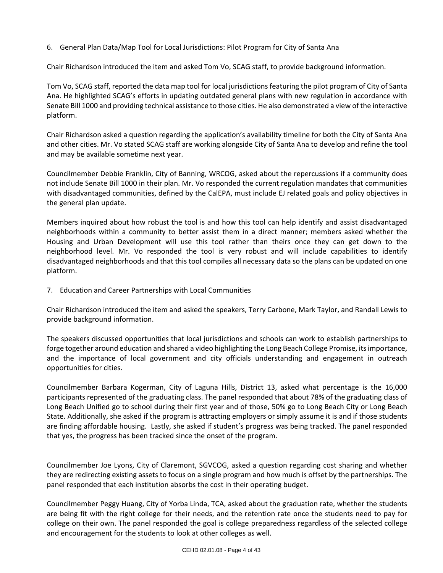### 6. General Plan Data/Map Tool for Local Jurisdictions: Pilot Program for City of Santa Ana

Chair Richardson introduced the item and asked Tom Vo, SCAG staff, to provide background information.

Tom Vo, SCAG staff, reported the data map tool for local jurisdictions featuring the pilot program of City of Santa Ana. He highlighted SCAG's efforts in updating outdated general plans with new regulation in accordance with Senate Bill 1000 and providing technical assistance to those cities. He also demonstrated a view of the interactive platform.

Chair Richardson asked a question regarding the application's availability timeline for both the City of Santa Ana and other cities. Mr. Vo stated SCAG staff are working alongside City of Santa Ana to develop and refine the tool and may be available sometime next year.

Councilmember Debbie Franklin, City of Banning, WRCOG, asked about the repercussions if a community does not include Senate Bill 1000 in their plan. Mr. Vo responded the current regulation mandates that communities with disadvantaged communities, defined by the CalEPA, must include EJ related goals and policy objectives in the general plan update.

Members inquired about how robust the tool is and how this tool can help identify and assist disadvantaged neighborhoods within a community to better assist them in a direct manner; members asked whether the Housing and Urban Development will use this tool rather than theirs once they can get down to the neighborhood level. Mr. Vo responded the tool is very robust and will include capabilities to identify disadvantaged neighborhoods and that this tool compiles all necessary data so the plans can be updated on one platform.

### 7. Education and Career Partnerships with Local Communities

Chair Richardson introduced the item and asked the speakers, Terry Carbone, Mark Taylor, and Randall Lewis to provide background information.

The speakers discussed opportunities that local jurisdictions and schools can work to establish partnerships to forge together around education and shared a video highlighting the Long Beach College Promise, its importance, and the importance of local government and city officials understanding and engagement in outreach opportunities for cities.

Councilmember Barbara Kogerman, City of Laguna Hills, District 13, asked what percentage is the 16,000 participants represented of the graduating class. The panel responded that about 78% of the graduating class of Long Beach Unified go to school during their first year and of those, 50% go to Long Beach City or Long Beach State. Additionally, she asked if the program is attracting employers or simply assume it is and if those students are finding affordable housing. Lastly, she asked if student's progress was being tracked. The panel responded that yes, the progress has been tracked since the onset of the program.

Councilmember Joe Lyons, City of Claremont, SGVCOG, asked a question regarding cost sharing and whether they are redirecting existing assets to focus on a single program and how much is offset by the partnerships. The panel responded that each institution absorbs the cost in their operating budget.

Councilmember Peggy Huang, City of Yorba Linda, TCA, asked about the graduation rate, whether the students are being fit with the right college for their needs, and the retention rate once the students need to pay for college on their own. The panel responded the goal is college preparedness regardless of the selected college and encouragement for the students to look at other colleges as well.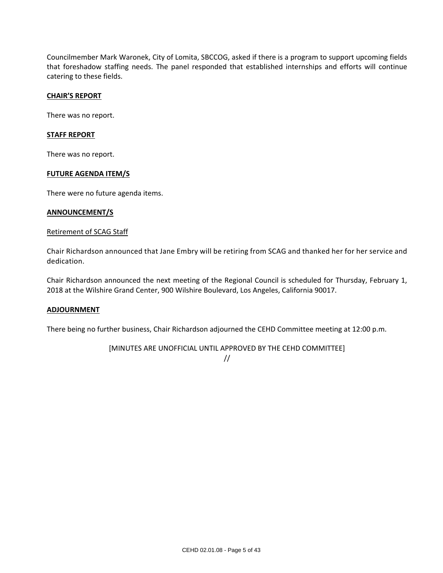Councilmember Mark Waronek, City of Lomita, SBCCOG, asked if there is a program to support upcoming fields that foreshadow staffing needs. The panel responded that established internships and efforts will continue catering to these fields.

### **CHAIR'S REPORT**

There was no report.

### **STAFF REPORT**

There was no report.

#### **FUTURE AGENDA ITEM/S**

There were no future agenda items.

#### **ANNOUNCEMENT/S**

#### Retirement of SCAG Staff

Chair Richardson announced that Jane Embry will be retiring from SCAG and thanked her for her service and dedication.

Chair Richardson announced the next meeting of the Regional Council is scheduled for Thursday, February 1, 2018 at the Wilshire Grand Center, 900 Wilshire Boulevard, Los Angeles, California 90017.

### **ADJOURNMENT**

There being no further business, Chair Richardson adjourned the CEHD Committee meeting at 12:00 p.m.

[MINUTES ARE UNOFFICIAL UNTIL APPROVED BY THE CEHD COMMITTEE]

//